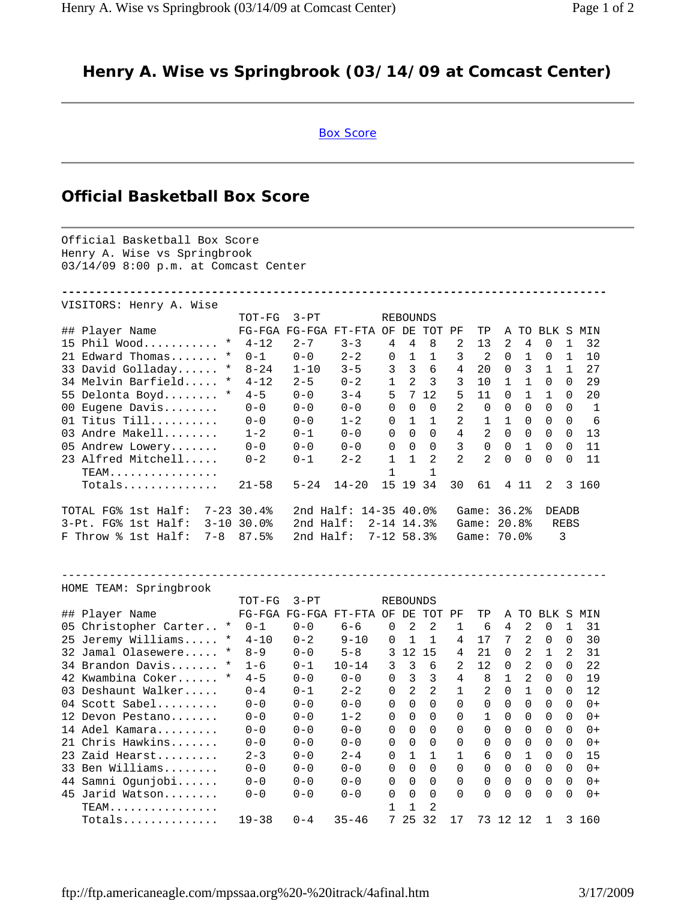## **Henry A. Wise vs Springbrook (03/14/09 at Comcast Center)**

## Box Score

## **Official Basketball Box Score**

Official Basketball Box Score Henry A. Wise vs Springbrook 03/14/09 8:00 p.m. at Comcast Center **--------------------------------------------------------------------------------** VISITORS: Henry A. Wise TOT-FG 3-PT REBOUNDS<br>FG-FGA FG-FGA FT-FTA OF DE TO FIG-FGA FG-FGA FT-FTA OF DE TOT PF TP A TO BLK S MIN 15 Phil Wood........... \* 4-12 2-7 3-3 4 4 8 2 13 2 4 0 1 32 21 Edward Thomas....... \* 0-1 0-0 2-2 0 1 1 3 2 0 1 0 1 10 33 David Golladay...... \* 8-24 1-10 3-5 3 3 6 4 20 0 3 1 1 27 34 Melvin Barfield..... \* 4-12 2-5 0-2 1 2 3 3 10 1 1 0 0 29 55 Delonta Boyd........ \* 4-5 0-0 3-4 5 7 12 5 11 0 1 1 0 20 00 Eugene Davis........ 0-0 0-0 0-0 0 0 0 2 0 0 0 0 0 1 01 Titus Till.......... 0-0 0-0 1-2 0 1 1 2 1 1 0 0 0 6 03 Andre Makell........ 1-2 0-1 0-0 0 0 0 4 2 0 0 0 0 13 05 Andrew Lowery....... 0-0 0-0 0-0 0 0 0 3 0 0 1 0 0 11 23 Alfred Mitchell..... 0-2 0-1 2-2 1 1 2 2 2 0 0 0 0 11 TEAM................ 1 1 Totals.............. 21-58 5-24 14-20 15 19 34 30 61 4 11 2 3 160 TOTAL FG% 1st Half: 7-23 30.4% 2nd Half: 14-35 40.0% Game: 36.2% DEADB 3-Pt. FG% 1st Half: 3-10 30.0% 2nd Half: 2-14 14.3% Game: 20.8% REBS F Throw % 1st Half: 7-8 87.5% 2nd Half: 7-12 58.3% Game: 70.0% 3 -------------------------------------------------------------------------------- HOME TEAM: Springbrook TOT-FG 3-PT REBOUNDS ## Player Name FG-FGA FG-FGA FT-FTA OF DE TOT PF TP A TO BLK S MIN 05 Christopher Carter.. \* 0-1 0-0 6-6 0 2 2 1 6 4 2 0 1 31 25 Jeremy Williams..... \* 4-10 0-2 9-10 0 1 1 4 17 7 2 0 0 30 32 Jamal Olasewere..... \* 8-9 0-0 5-8 3 12 15 4 21 0 2 1 2 31 34 Brandon Davis....... \* 1-6 0-1 10-14 3 3 6 2 12 0 2 0 0 22 42 Kwambina Coker...... \* 4-5 0-0 0-0 0 3 3 4 8 1 2 0 0 19 03 Deshaunt Walker..... 0-4 0-1 2-2 0 2 2 1 2 0 1 0 0 12 04 Scott Sabel......... 0-0 0-0 0-0 0 0 0 0 0 0 0 0 0 0+ 12 Devon Pestano....... 0-0 0-0 1-2 0 0 0 0 1 0 0 0 0 0+ 14 Adel Kamara......... 0-0 0-0 0-0 0 0 0 0 0 0 0 0 0 0+ 21 Chris Hawkins....... 0-0 0-0 0-0 0 0 0 0 0 0 0 0 0 0+ 23 Zaid Hearst......... 2-3 0-0 2-4 0 1 1 1 6 0 1 0 0 15 33 Ben Williams........ 0-0 0-0 0-0 0 0 0 0 0 0 0 0 0 0+ 44 Samni Ogunjobi...... 0-0 0-0 0-0 0 0 0 0 0 0 0 0 0 0+ 45 Jarid Watson........ 0-0 0-0 0-0 0 0 0 0 0 0 0 0 0 0+ TEAM................ 1 1 2 Totals.............. 19-38 0-4 35-46 7 25 32 17 73 12 12 1 3 160